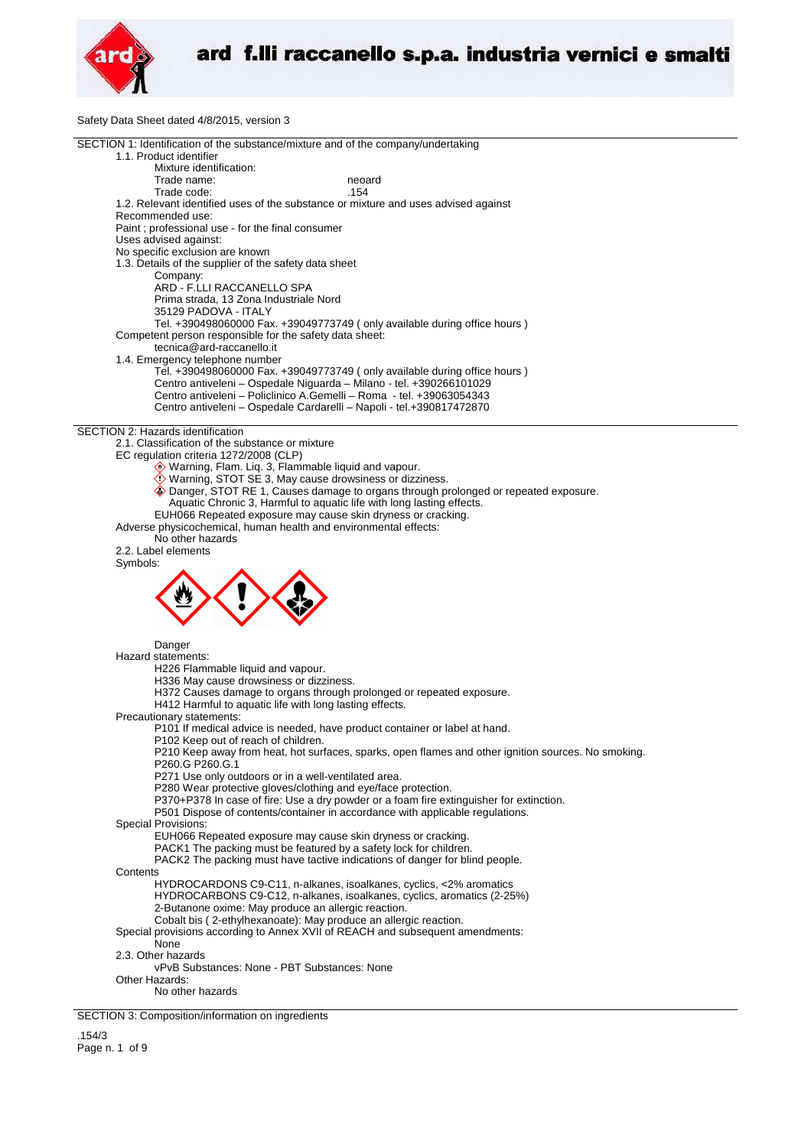

Safety Data Sheet dated 4/8/2015, version 3

| $\frac{1}{2}$ bala bridge dated $\frac{1}{2}$ or $\frac{1}{2}$ io, version                                                                                               |
|--------------------------------------------------------------------------------------------------------------------------------------------------------------------------|
| SECTION 1: Identification of the substance/mixture and of the company/undertaking<br>1.1. Product identifier                                                             |
| Mixture identification:                                                                                                                                                  |
| Trade name:<br>neoard<br>Trade code:<br>.154                                                                                                                             |
| 1.2. Relevant identified uses of the substance or mixture and uses advised against<br>Recommended use:                                                                   |
| Paint ; professional use - for the final consumer<br>Uses advised against:                                                                                               |
| No specific exclusion are known                                                                                                                                          |
| 1.3. Details of the supplier of the safety data sheet<br>Company:                                                                                                        |
| ARD - F.LLI RACCANELLO SPA<br>Prima strada, 13 Zona Industriale Nord                                                                                                     |
| 35129 PADOVA - ITALY                                                                                                                                                     |
| Tel. +390498060000 Fax. +39049773749 (only available during office hours)                                                                                                |
| Competent person responsible for the safety data sheet:<br>tecnica@ard-raccanello.it                                                                                     |
| 1.4. Emergency telephone number                                                                                                                                          |
| Tel. +390498060000 Fax. +39049773749 (only available during office hours)<br>Centro antiveleni - Ospedale Niguarda - Milano - tel. +390266101029                         |
| Centro antiveleni - Policlinico A.Gemelli - Roma - tel. +39063054343<br>Centro antiveleni - Ospedale Cardarelli - Napoli - tel.+390817472870                             |
|                                                                                                                                                                          |
| SECTION 2: Hazards identification                                                                                                                                        |
| 2.1. Classification of the substance or mixture<br>EC regulation criteria 1272/2008 (CLP)                                                                                |
| Warning, Flam. Liq. 3, Flammable liquid and vapour.                                                                                                                      |
| Warning, STOT SE 3, May cause drowsiness or dizziness.                                                                                                                   |
| ♦ Danger, STOT RE 1, Causes damage to organs through prolonged or repeated exposure.<br>Aquatic Chronic 3, Harmful to aquatic life with long lasting effects.            |
| EUH066 Repeated exposure may cause skin dryness or cracking.                                                                                                             |
| Adverse physicochemical, human health and environmental effects:                                                                                                         |
| No other hazards<br>2.2. Label elements                                                                                                                                  |
| Symbols:                                                                                                                                                                 |
|                                                                                                                                                                          |
|                                                                                                                                                                          |
|                                                                                                                                                                          |
|                                                                                                                                                                          |
| Danger                                                                                                                                                                   |
| Hazard statements:<br>H226 Flammable liquid and vapour.                                                                                                                  |
| H336 May cause drowsiness or dizziness.                                                                                                                                  |
| H372 Causes damage to organs through prolonged or repeated exposure.                                                                                                     |
| H412 Harmful to aquatic life with long lasting effects.                                                                                                                  |
| Precautionary statements:<br>P101 If medical advice is needed, have product container or label at hand.                                                                  |
| P102 Keep out of reach of children.                                                                                                                                      |
| P210 Keep away from heat, hot surfaces, sparks, open flames and other ignition sources. No smoking.<br>P260.G P260.G.1                                                   |
| P271 Use only outdoors or in a well-ventilated area.                                                                                                                     |
| P280 Wear protective gloves/clothing and eye/face protection.                                                                                                            |
| P370+P378 In case of fire: Use a dry powder or a foam fire extinguisher for extinction.<br>P501 Dispose of contents/container in accordance with applicable regulations. |
| <b>Special Provisions:</b>                                                                                                                                               |
| EUH066 Repeated exposure may cause skin dryness or cracking.                                                                                                             |
| PACK1 The packing must be featured by a safety lock for children.<br>PACK2 The packing must have tactive indications of danger for blind people.                         |
| Contents                                                                                                                                                                 |
| HYDROCARDONS C9-C11, n-alkanes, isoalkanes, cyclics, <2% aromatics                                                                                                       |
| HYDROCARBONS C9-C12, n-alkanes, isoalkanes, cyclics, aromatics (2-25%)<br>2-Butanone oxime: May produce an allergic reaction.                                            |
| Cobalt bis (2-ethylhexanoate): May produce an allergic reaction.                                                                                                         |
| Special provisions according to Annex XVII of REACH and subsequent amendments:                                                                                           |
| None<br>2.3. Other hazards                                                                                                                                               |
| vPvB Substances: None - PBT Substances: None                                                                                                                             |
| Other Hazards:                                                                                                                                                           |
| No other hazards                                                                                                                                                         |
| SECTION 3: Composition/information on ingredients                                                                                                                        |
|                                                                                                                                                                          |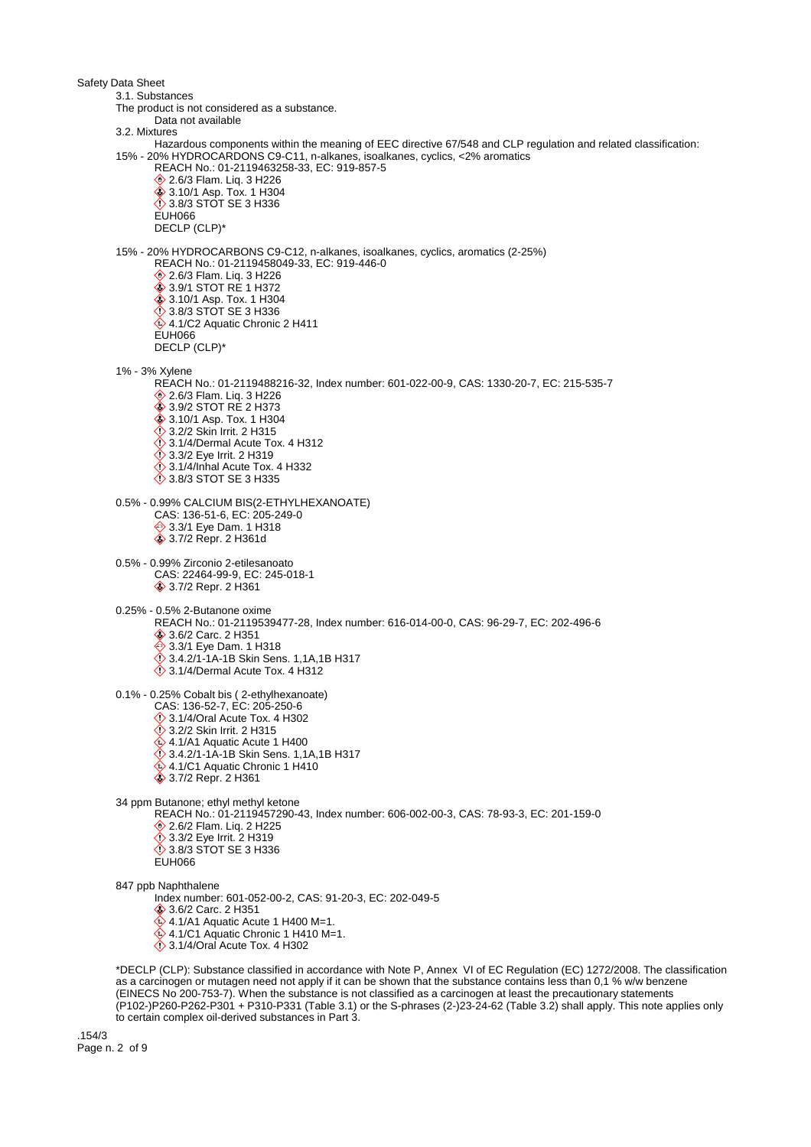Safety Data Sheet 3.1. Substances The product is not considered as a substance. Data not available 3.2. Mixtures Hazardous components within the meaning of EEC directive 67/548 and CLP regulation and related classification: 15% - 20% HYDROCARDONS C9-C11, n-alkanes, isoalkanes, cyclics, <2% aromatics REACH No.: 01-2119463258-33, EC: 919-857-5 **♦ 2.6/3 Flam. Liq. 3 H226**  3.10/1 Asp. Tox. 1 H304 3.8/3 STOT SE 3 H336 EUH066 DECLP (CLP)\* 15% - 20% HYDROCARBONS C9-C12, n-alkanes, isoalkanes, cyclics, aromatics (2-25%) REACH No.: 01-2119458049-33, EC: 919-446-0 **♦ 2.6/3 Flam. Liq. 3 H226** 3.9/1 STOT RE 1 H372 3.10/1 Asp. Tox. 1 H304 3.8/3 STOT SE 3 H336 4.1/C2 Aquatic Chronic 2 H411 EUH066 DECLP (CLP)\* 1% - 3% Xylene REACH No.: 01-2119488216-32, Index number: 601-022-00-9, CAS: 1330-20-7, EC: 215-535-7 **♦ 2.6/3 Flam. Liq. 3 H226 ♦ 3.9/2 STOT RE 2 H373 ♦ 3.10/1 Asp. Tox. 1 H304**  $\diamond$  3.2/2 Skin Irrit. 2 H315  $\ddot{\diamond}$  3.1/4/Dermal Acute Tox. 4 H312 **3.3/2 Eye Irrit. 2 H319**  $\Diamond$  3.1/4/Inhal Acute Tox. 4 H332 3.8/3 STOT SE 3 H335 0.5% - 0.99% CALCIUM BIS(2-ETHYLHEXANOATE) CAS: 136-51-6, EC: 205-249-0 **♦ 3.3/1 Eye Dam. 1 H318 ♦ 3.7/2 Repr. 2 H361d** 0.5% - 0.99% Zirconio 2-etilesanoato CAS: 22464-99-9, EC: 245-018-1 3.7/2 Repr. 2 H361 0.25% - 0.5% 2-Butanone oxime REACH No.: 01-2119539477-28, Index number: 616-014-00-0, CAS: 96-29-7, EC: 202-496-6 3.6/2 Carc. 2 H351 **♦ 3.3/1 Eye Dam. 1 H318**  3.4.2/1-1A-1B Skin Sens. 1,1A,1B H317 3.1/4/Dermal Acute Tox. 4 H312 0.1% - 0.25% Cobalt bis ( 2-ethylhexanoate) CAS: 136-52-7, EC: 205-250-6 3.1/4/Oral Acute Tox. 4 H302 3.2/2 Skin Irrit. 2 H315  $4.1/A1$  Aquatic Acute 1 H400  $\bullet$  3.4.2/1-1A-1B Skin Sens. 1,1A,1B H317  $4.1/C1$  Aquatic Chronic 1 H410 **♦ 3.7/2 Repr. 2 H361** 34 ppm Butanone; ethyl methyl ketone REACH No.: 01-2119457290-43, Index number: 606-002-00-3, CAS: 78-93-3, EC: 201-159-0 2.6/2 Flam. Liq. 2 H225 3.3/2 Eye Irrit. 2 H319 3.8/3 STOT SE 3 H336 ELIHO66 847 ppb Naphthalene Index number: 601-052-00-2, CAS: 91-20-3, EC: 202-049-5 3.6/2 Carc. 2 H351  $4.1/A1$  Aquatic Acute 1 H400 M=1.  $4.1/C1$  Aquatic Chronic 1 H410 M=1.  $\ddot{\diamond}$  3.1/4/Oral Acute Tox. 4 H302 \*DECLP (CLP): Substance classified in accordance with Note P, Annex VI of EC Regulation (EC) 1272/2008. The classification as a carcinogen or mutagen need not apply if it can be shown that the substance contains less than 0,1 % w/w benzene (EINECS No 200-753-7). When the substance is not classified as a carcinogen at least the precautionary statements (P102-)P260-P262-P301 + P310-P331 (Table 3.1) or the S-phrases (2-)23-24-62 (Table 3.2) shall apply. This note applies only

to certain complex oil-derived substances in Part 3.

.154/3 Page n. 2 of 9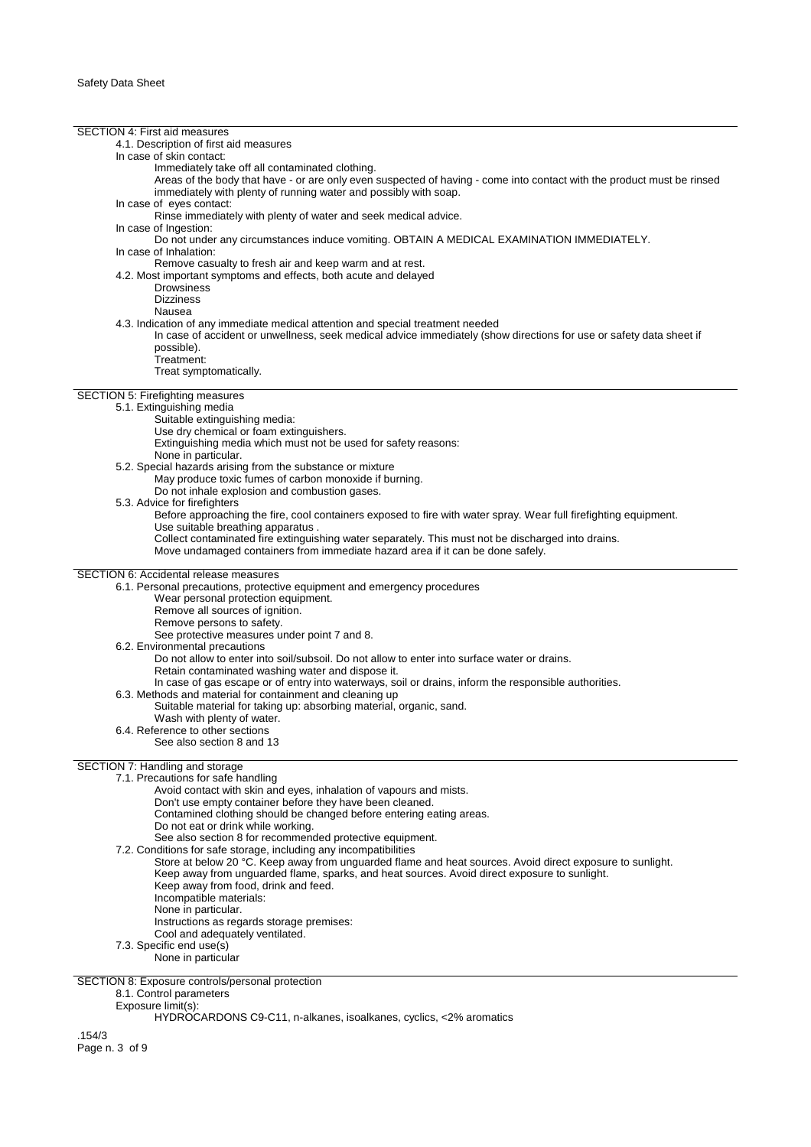SECTION 4: First aid measures 4.1. Description of first aid measures In case of skin contact: Immediately take off all contaminated clothing. Areas of the body that have - or are only even suspected of having - come into contact with the product must be rinsed immediately with plenty of running water and possibly with soap. In case of eyes contact: Rinse immediately with plenty of water and seek medical advice. In case of Ingestion: Do not under any circumstances induce vomiting. OBTAIN A MEDICAL EXAMINATION IMMEDIATELY. In case of Inhalation: Remove casualty to fresh air and keep warm and at rest. 4.2. Most important symptoms and effects, both acute and delayed **Drowsiness** Dizziness Nausea 4.3. Indication of any immediate medical attention and special treatment needed In case of accident or unwellness, seek medical advice immediately (show directions for use or safety data sheet if possible). Treatment: Treat symptomatically. SECTION 5: Firefighting measures 5.1. Extinguishing media Suitable extinguishing media: Use dry chemical or foam extinguishers. Extinguishing media which must not be used for safety reasons: None in particular. 5.2. Special hazards arising from the substance or mixture May produce toxic fumes of carbon monoxide if burning. Do not inhale explosion and combustion gases. 5.3. Advice for firefighters Before approaching the fire, cool containers exposed to fire with water spray. Wear full firefighting equipment. Use suitable breathing apparatus . Collect contaminated fire extinguishing water separately. This must not be discharged into drains. Move undamaged containers from immediate hazard area if it can be done safely. SECTION 6: Accidental release measures 6.1. Personal precautions, protective equipment and emergency procedures Wear personal protection equipment. Remove all sources of ignition. Remove persons to safety. See protective measures under point 7 and 8. 6.2. Environmental precautions Do not allow to enter into soil/subsoil. Do not allow to enter into surface water or drains. Retain contaminated washing water and dispose it. In case of gas escape or of entry into waterways, soil or drains, inform the responsible authorities. 6.3. Methods and material for containment and cleaning up Suitable material for taking up: absorbing material, organic, sand. Wash with plenty of water. 6.4. Reference to other sections See also section 8 and 13 SECTION 7: Handling and storage 7.1. Precautions for safe handling Avoid contact with skin and eyes, inhalation of vapours and mists. Don't use empty container before they have been cleaned. Contamined clothing should be changed before entering eating areas. Do not eat or drink while working. See also section 8 for recommended protective equipment. 7.2. Conditions for safe storage, including any incompatibilities Store at below 20 °C. Keep away from unguarded flame and heat sources. Avoid direct exposure to sunlight. Keep away from unguarded flame, sparks, and heat sources. Avoid direct exposure to sunlight. Keep away from food, drink and feed. Incompatible materials: None in particular. Instructions as regards storage premises: Cool and adequately ventilated. 7.3. Specific end use(s) None in particular SECTION 8: Exposure controls/personal protection 8.1. Control parameters Exposure limit(s): HYDROCARDONS C9-C11, n-alkanes, isoalkanes, cyclics, <2% aromatics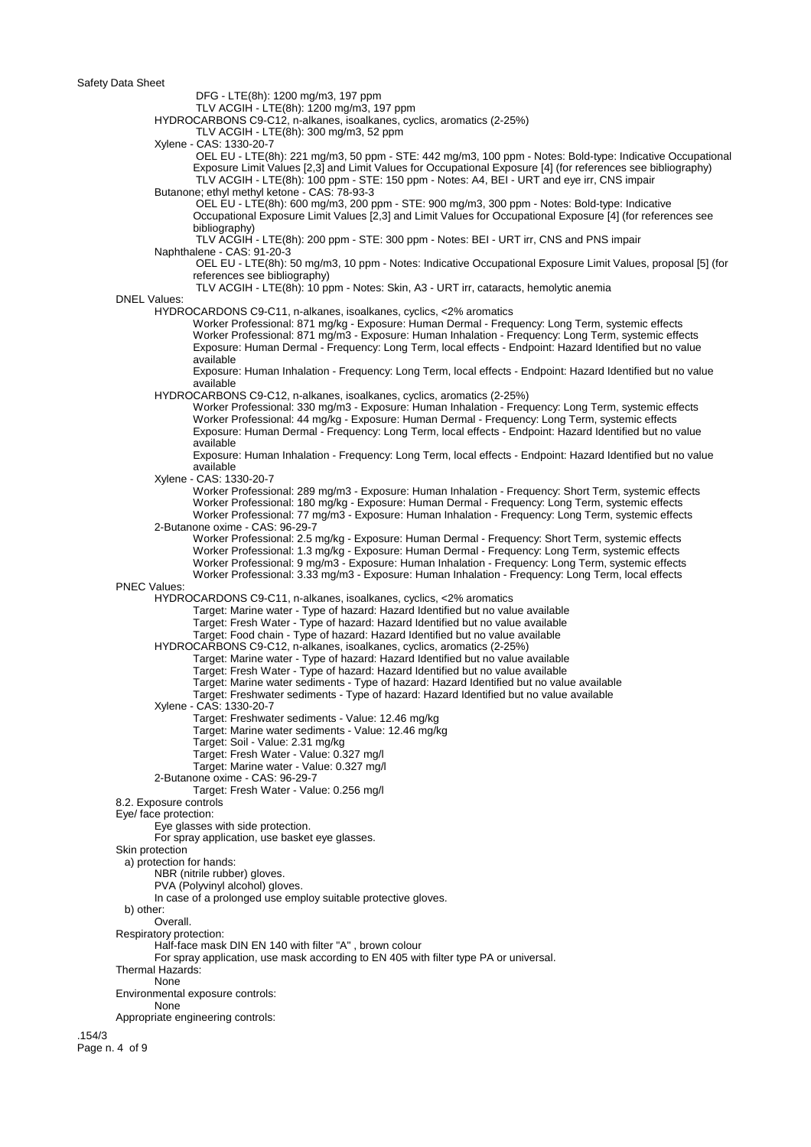Safety Data Sheet

DFG - LTE(8h): 1200 mg/m3, 197 ppm

TLV ACGIH - LTE(8h): 1200 mg/m3, 197 ppm

HYDROCARBONS C9-C12, n-alkanes, isoalkanes, cyclics, aromatics (2-25%)

TLV ACGIH - LTE(8h): 300 mg/m3, 52 ppm

Xylene - CAS: 1330-20-7

 OEL EU - LTE(8h): 221 mg/m3, 50 ppm - STE: 442 mg/m3, 100 ppm - Notes: Bold-type: Indicative Occupational Exposure Limit Values [2,3] and Limit Values for Occupational Exposure [4] (for references see bibliography) TLV ACGIH - LTE(8h): 100 ppm - STE: 150 ppm - Notes: A4, BEI - URT and eye irr, CNS impair Butanone: ethyl methyl ketone - CAS: 78-93-3

 OEL EU - LTE(8h): 600 mg/m3, 200 ppm - STE: 900 mg/m3, 300 ppm - Notes: Bold-type: Indicative Occupational Exposure Limit Values [2,3] and Limit Values for Occupational Exposure [4] (for references see bibliography)

 TLV ACGIH - LTE(8h): 200 ppm - STE: 300 ppm - Notes: BEI - URT irr, CNS and PNS impair Naphthalene - CAS: 91-20-3

 OEL EU - LTE(8h): 50 mg/m3, 10 ppm - Notes: Indicative Occupational Exposure Limit Values, proposal [5] (for references see bibliography)

TLV ACGIH - LTE(8h): 10 ppm - Notes: Skin, A3 - URT irr, cataracts, hemolytic anemia

### DNEL Values:

HYDROCARDONS C9-C11, n-alkanes, isoalkanes, cyclics, <2% aromatics

Worker Professional: 871 mg/kg - Exposure: Human Dermal - Frequency: Long Term, systemic effects Worker Professional: 871 mg/m3 - Exposure: Human Inhalation - Frequency: Long Term, systemic effects Exposure: Human Dermal - Frequency: Long Term, local effects - Endpoint: Hazard Identified but no value available

Exposure: Human Inhalation - Frequency: Long Term, local effects - Endpoint: Hazard Identified but no value available

HYDROCARBONS C9-C12, n-alkanes, isoalkanes, cyclics, aromatics (2-25%)

Worker Professional: 330 mg/m3 - Exposure: Human Inhalation - Frequency: Long Term, systemic effects Worker Professional: 44 mg/kg - Exposure: Human Dermal - Frequency: Long Term, systemic effects Exposure: Human Dermal - Frequency: Long Term, local effects - Endpoint: Hazard Identified but no value available

Exposure: Human Inhalation - Frequency: Long Term, local effects - Endpoint: Hazard Identified but no value available

Xylene - CAS: 1330-20-7

Worker Professional: 289 mg/m3 - Exposure: Human Inhalation - Frequency: Short Term, systemic effects Worker Professional: 180 mg/kg - Exposure: Human Dermal - Frequency: Long Term, systemic effects Worker Professional: 77 mg/m3 - Exposure: Human Inhalation - Frequency: Long Term, systemic effects 2-Butanone oxime - CAS: 96-29-7

Worker Professional: 2.5 mg/kg - Exposure: Human Dermal - Frequency: Short Term, systemic effects Worker Professional: 1.3 mg/kg - Exposure: Human Dermal - Frequency: Long Term, systemic effects Worker Professional: 9 mg/m3 - Exposure: Human Inhalation - Frequency: Long Term, systemic effects Worker Professional: 3.33 mg/m3 - Exposure: Human Inhalation - Frequency: Long Term, local effects

#### PNEC Values:

HYDROCARDONS C9-C11, n-alkanes, isoalkanes, cyclics, <2% aromatics

Target: Marine water - Type of hazard: Hazard Identified but no value available

Target: Fresh Water - Type of hazard: Hazard Identified but no value available

Target: Food chain - Type of hazard: Hazard Identified but no value available

HYDROCARBONS C9-C12, n-alkanes, isoalkanes, cyclics, aromatics (2-25%)

Target: Marine water - Type of hazard: Hazard Identified but no value available

- Target: Fresh Water Type of hazard: Hazard Identified but no value available
- Target: Marine water sediments Type of hazard: Hazard Identified but no value available

Target: Freshwater sediments - Type of hazard: Hazard Identified but no value available

Xylene - CAS: 1330-20-7

Target: Freshwater sediments - Value: 12.46 mg/kg

Target: Marine water sediments - Value: 12.46 mg/kg

Target: Soil - Value: 2.31 mg/kg

Target: Fresh Water - Value: 0.327 mg/l

Target: Marine water - Value: 0.327 mg/l

- 2-Butanone oxime CAS: 96-29-7
	- Target: Fresh Water Value: 0.256 mg/l

8.2. Exposure controls

Eye/ face protection:

Eye glasses with side protection.

For spray application, use basket eye glasses.

Skin protection

a) protection for hands:

NBR (nitrile rubber) gloves.

PVA (Polyvinyl alcohol) gloves.

In case of a prolonged use employ suitable protective gloves.

b) other:

Overall.

Respiratory protection:

Half-face mask DIN EN 140 with filter "A" , brown colour

For spray application, use mask according to EN 405 with filter type PA or universal.

Thermal Hazards:

None

Environmental exposure controls:

None

Appropriate engineering controls:

.154/3 Page n. 4 of 9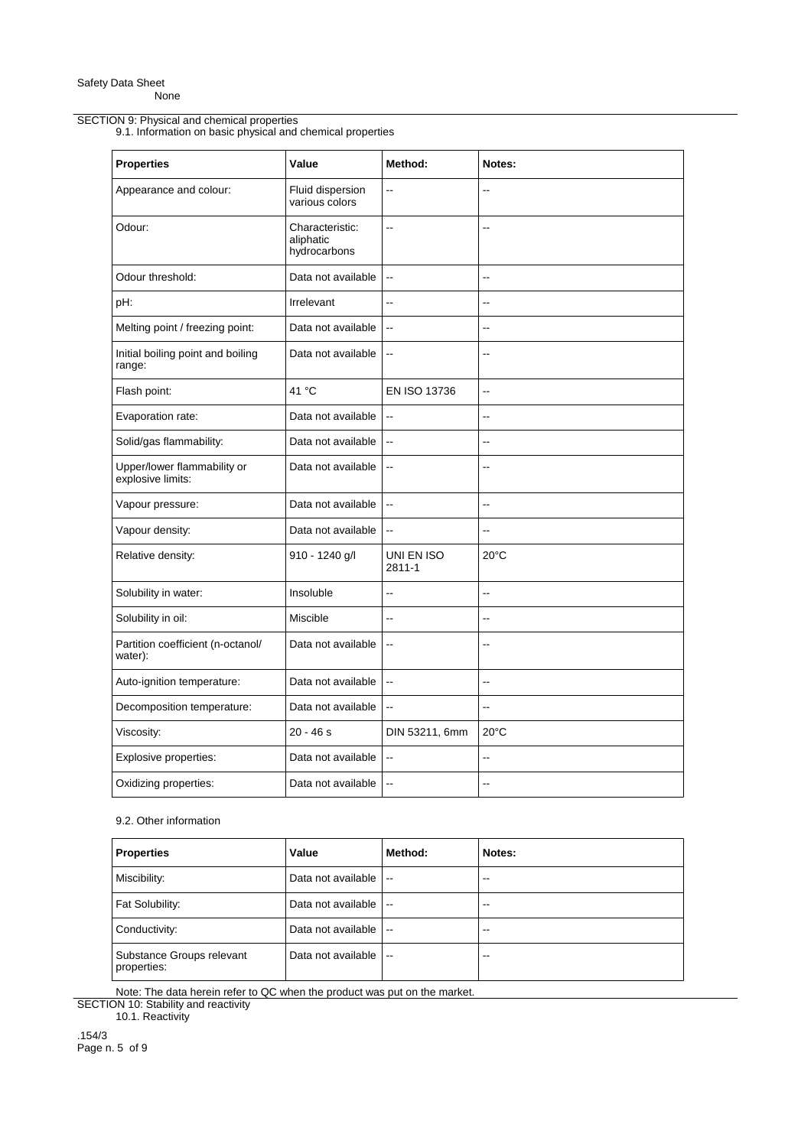## SECTION 9: Physical and chemical properties

9.1. Information on basic physical and chemical properties

| <b>Properties</b>                                | Value                                        | Method:                  | Notes:                   |
|--------------------------------------------------|----------------------------------------------|--------------------------|--------------------------|
| Appearance and colour:                           | Fluid dispersion<br>various colors           | Ξ.                       | ۵.                       |
| Odour:                                           | Characteristic:<br>aliphatic<br>hydrocarbons | $\ddot{\phantom{a}}$     | Ξ.                       |
| Odour threshold:                                 | Data not available                           | $\ddotsc$                | ۵.                       |
| pH:                                              | Irrelevant                                   | Ξ.                       | Ξ.                       |
| Melting point / freezing point:                  | Data not available                           | $\ddotsc$                | ۵.                       |
| Initial boiling point and boiling<br>range:      | Data not available                           | $\overline{\phantom{a}}$ |                          |
| Flash point:                                     | 41 °C                                        | EN ISO 13736             | Ξ.                       |
| Evaporation rate:                                | Data not available                           | $\ddotsc$                | ٠.                       |
| Solid/gas flammability:                          | Data not available                           | $\ddotsc$                |                          |
| Upper/lower flammability or<br>explosive limits: | Data not available                           | $\overline{a}$           | ۵.                       |
| Vapour pressure:                                 | Data not available                           | $\ddotsc$                | Ξ.                       |
| Vapour density:                                  | Data not available                           | $\ddotsc$                | $\sim$                   |
| Relative density:                                | 910 - 1240 g/l                               | UNI EN ISO<br>2811-1     | $20^{\circ}$ C           |
| Solubility in water:                             | Insoluble                                    | $-$                      | $\overline{\phantom{a}}$ |
| Solubility in oil:                               | Miscible                                     | $\overline{a}$           | $-$                      |
| Partition coefficient (n-octanol/<br>water):     | Data not available                           | $\ddotsc$                | $\overline{a}$           |
| Auto-ignition temperature:                       | Data not available                           | $\ddot{\phantom{a}}$     | Ξ.                       |
| Decomposition temperature:                       | Data not available                           | $\ddotsc$                | $\ddotsc$                |
| Viscosity:                                       | $20 - 46s$                                   | DIN 53211, 6mm           | $20^{\circ}$ C           |
| Explosive properties:                            | Data not available                           | $\overline{\phantom{a}}$ | $-$                      |
| Oxidizing properties:                            | Data not available                           | $\sim$                   | $\overline{a}$           |

# 9.2. Other information

| <b>Properties</b>                        | Value              | Method:                  | Notes: |
|------------------------------------------|--------------------|--------------------------|--------|
| Miscibility:                             | Data not available | $\overline{\phantom{a}}$ | --     |
| Fat Solubility:                          | Data not available | $\overline{\phantom{a}}$ | --     |
| Conductivity:                            | Data not available | $\sim$                   | --     |
| Substance Groups relevant<br>properties: | Data not available | $\sim$ $\sim$            | --     |

Note: The data herein refer to QC when the product was put on the market. SECTION 10: Stability and reactivity

10.1. Reactivity

.154/3 Page n. 5 of 9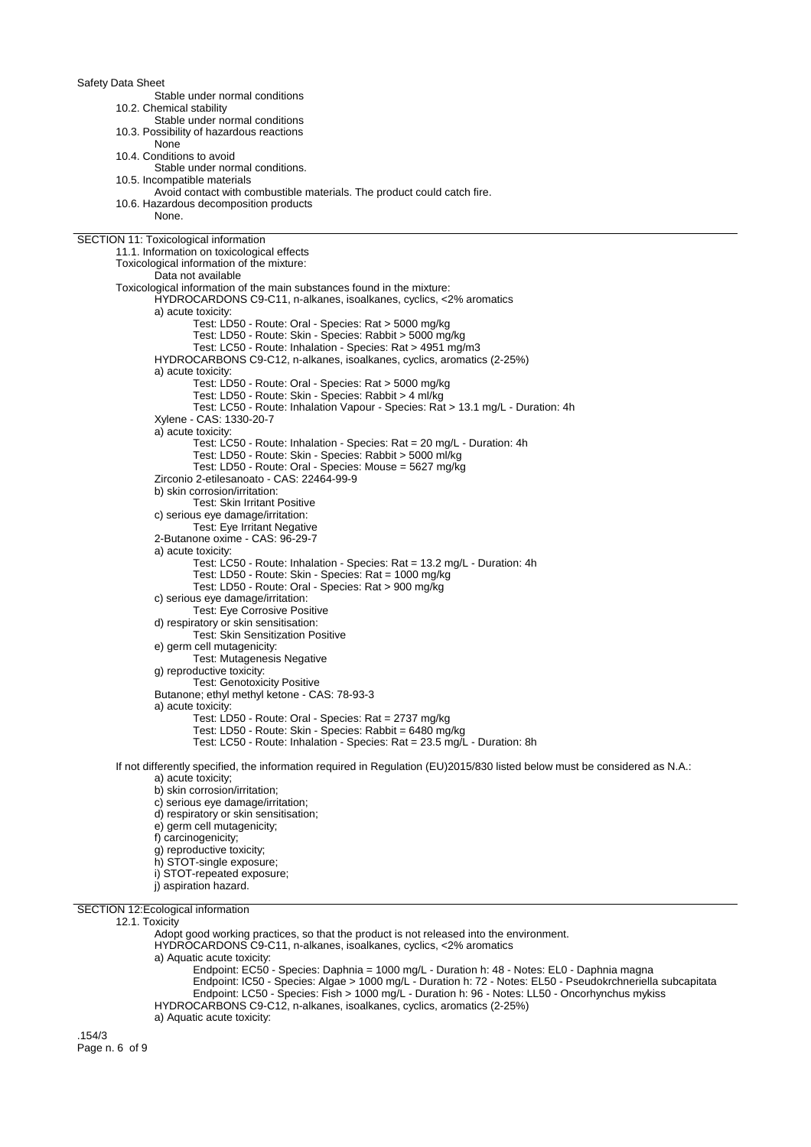Safety Data Sheet Stable under normal conditions 10.2. Chemical stability Stable under normal conditions 10.3. Possibility of hazardous reactions None 10.4. Conditions to avoid Stable under normal conditions. 10.5. Incompatible materials Avoid contact with combustible materials. The product could catch fire. 10.6. Hazardous decomposition products None. SECTION 11: Toxicological information 11.1. Information on toxicological effects Toxicological information of the mixture: Data not available Toxicological information of the main substances found in the mixture: HYDROCARDONS C9-C11, n-alkanes, isoalkanes, cyclics, <2% aromatics a) acute toxicity: Test: LD50 - Route: Oral - Species: Rat > 5000 mg/kg Test: LD50 - Route: Skin - Species: Rabbit > 5000 mg/kg Test: LC50 - Route: Inhalation - Species: Rat > 4951 mg/m3 HYDROCARBONS C9-C12, n-alkanes, isoalkanes, cyclics, aromatics (2-25%) a) acute toxicity: Test: LD50 - Route: Oral - Species: Rat > 5000 mg/kg Test: LD50 - Route: Skin - Species: Rabbit > 4 ml/kg Test: LC50 - Route: Inhalation Vapour - Species: Rat > 13.1 mg/L - Duration: 4h Xylene - CAS: 1330-20-7 a) acute toxicity: Test: LC50 - Route: Inhalation - Species: Rat = 20 mg/L - Duration: 4h Test: LD50 - Route: Skin - Species: Rabbit > 5000 ml/kg Test: LD50 - Route: Oral - Species: Mouse = 5627 mg/kg Zirconio 2-etilesanoato - CAS: 22464-99-9 b) skin corrosion/irritation: Test: Skin Irritant Positive c) serious eye damage/irritation: Test: Eye Irritant Negative 2-Butanone oxime - CAS: 96-29-7 a) acute toxicity: Test: LC50 - Route: Inhalation - Species: Rat = 13.2 mg/L - Duration: 4h Test: LD50 - Route: Skin - Species: Rat = 1000 mg/kg Test: LD50 - Route: Oral - Species: Rat > 900 mg/kg c) serious eye damage/irritation: Test: Eye Corrosive Positive d) respiratory or skin sensitisation: Test: Skin Sensitization Positive e) germ cell mutagenicity: Test: Mutagenesis Negative g) reproductive toxicity: Test: Genotoxicity Positive Butanone; ethyl methyl ketone - CAS: 78-93-3 a) acute toxicity: Test: LD50 - Route: Oral - Species: Rat = 2737 mg/kg Test: LD50 - Route: Skin - Species: Rabbit = 6480 mg/kg Test: LC50 - Route: Inhalation - Species: Rat = 23.5 mg/L - Duration: 8h If not differently specified, the information required in Regulation (EU)2015/830 listed below must be considered as N.A.: a) acute toxicity; b) skin corrosion/irritation; c) serious eye damage/irritation; d) respiratory or skin sensitisation; e) germ cell mutagenicity; f) carcinogenicity; g) reproductive toxicity: h) STOT-single exposure; i) STOT-repeated exposure;

- 
- j) aspiration hazard.

SECTION 12:Ecological information

### 12.1. Toxicity

Adopt good working practices, so that the product is not released into the environment.

HYDROCARDONS C9-C11, n-alkanes, isoalkanes, cyclics, <2% aromatics

a) Aquatic acute toxicity:

Endpoint: EC50 - Species: Daphnia = 1000 mg/L - Duration h: 48 - Notes: EL0 - Daphnia magna Endpoint: IC50 - Species: Algae > 1000 mg/L - Duration h: 72 - Notes: EL50 - Pseudokrchneriella subcapitata

Endpoint: LC50 - Species: Fish > 1000 mg/L - Duration h: 96 - Notes: LL50 - Oncorhynchus mykiss

HYDROCARBONS C9-C12, n-alkanes, isoalkanes, cyclics, aromatics (2-25%)

a) Aquatic acute toxicity:

.154/3 Page n. 6 of 9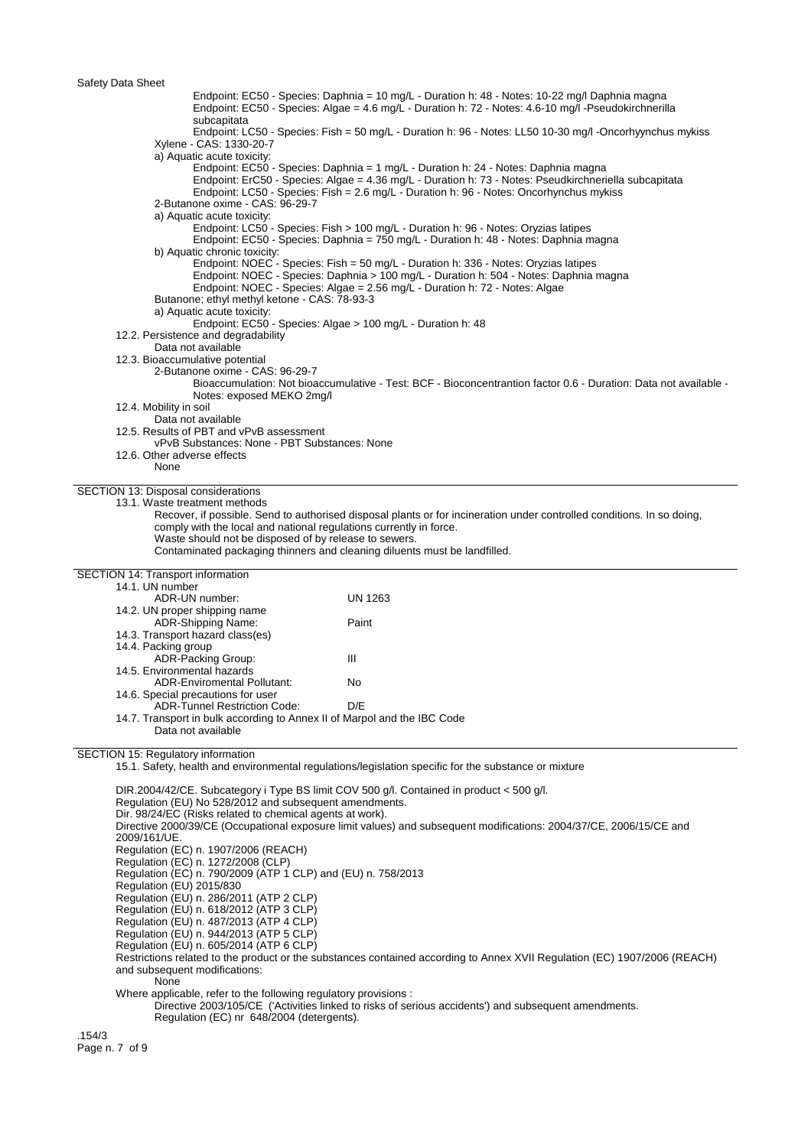Endpoint: EC50 - Species: Daphnia = 10 mg/L - Duration h: 48 - Notes: 10-22 mg/l Daphnia magna Endpoint: EC50 - Species: Algae = 4.6 mg/L - Duration h: 72 - Notes: 4.6-10 mg/l -Pseudokirchnerilla subcapitata Endpoint: LC50 - Species: Fish = 50 mg/L - Duration h: 96 - Notes: LL50 10-30 mg/l -Oncorhyynchus mykiss Xylene - CAS: 1330-20-7 a) Aquatic acute toxicity: Endpoint: EC50 - Species: Daphnia = 1 mg/L - Duration h: 24 - Notes: Daphnia magna Endpoint: ErC50 - Species: Algae = 4.36 mg/L - Duration h: 73 - Notes: Pseudkirchneriella subcapitata Endpoint: LC50 - Species: Fish = 2.6 mg/L - Duration h: 96 - Notes: Oncorhynchus mykiss 2-Butanone oxime - CAS: 96-29-7 a) Aquatic acute toxicity: Endpoint: LC50 - Species: Fish > 100 mg/L - Duration h: 96 - Notes: Oryzias latipes Endpoint: EC50 - Species: Daphnia = 750 mg/L - Duration h: 48 - Notes: Daphnia magna b) Aquatic chronic toxicity: Endpoint: NOEC - Species: Fish = 50 mg/L - Duration h: 336 - Notes: Oryzias latipes Endpoint: NOEC - Species: Daphnia > 100 mg/L - Duration h: 504 - Notes: Daphnia magna Endpoint: NOEC - Species: Algae = 2.56 mg/L - Duration h: 72 - Notes: Algae Butanone; ethyl methyl ketone - CAS: 78-93-3 a) Aquatic acute toxicity: Endpoint: EC50 - Species: Algae > 100 mg/L - Duration h: 48 12.2. Persistence and degradability Data not available 12.3. Bioaccumulative potential 2-Butanone oxime - CAS: 96-29-7 Bioaccumulation: Not bioaccumulative - Test: BCF - Bioconcentrantion factor 0.6 - Duration: Data not available - Notes: exposed MEKO 2mg/l 12.4. Mobility in soil Data not available 12.5. Results of PBT and vPvB assessment vPvB Substances: None - PBT Substances: None 12.6. Other adverse effects None SECTION 13: Disposal considerations 13.1. Waste treatment methods Recover, if possible. Send to authorised disposal plants or for incineration under controlled conditions. In so doing, comply with the local and national regulations currently in force. Waste should not be disposed of by release to sewers. Contaminated packaging thinners and cleaning diluents must be landfilled. SECTION 14: Transport information 14.1. UN number ADR-UN number: UN 1263 14.2. UN proper shipping name ADR-Shipping Name: Paint 14.3. Transport hazard class(es) 14.4. Packing group ADR-Packing Group: III 14.5. Environmental hazards ADR-Enviromental Pollutant: No 14.6. Special precautions for user ADR-Tunnel Restriction Code: D/E 14.7. Transport in bulk according to Annex II of Marpol and the IBC Code Data not available SECTION 15: Regulatory information 15.1. Safety, health and environmental regulations/legislation specific for the substance or mixture DIR.2004/42/CE. Subcategory i Type BS limit COV 500 g/l. Contained in product < 500 g/l. Regulation (EU) No 528/2012 and subsequent amendments. Dir. 98/24/EC (Risks related to chemical agents at work). Directive 2000/39/CE (Occupational exposure limit values) and subsequent modifications: 2004/37/CE, 2006/15/CE and 2009/161/UE. Regulation (EC) n. 1907/2006 (REACH) Regulation (EC) n. 1272/2008 (CLP) Regulation (EC) n. 790/2009 (ATP 1 CLP) and (EU) n. 758/2013 Regulation (EU) 2015/830 Regulation (EU) n. 286/2011 (ATP 2 CLP) Regulation (EU) n. 618/2012 (ATP 3 CLP) Regulation (EU) n. 487/2013 (ATP 4 CLP) Regulation (EU) n. 944/2013 (ATP 5 CLP) Regulation (EU) n. 605/2014 (ATP 6 CLP) Restrictions related to the product or the substances contained according to Annex XVII Regulation (EC) 1907/2006 (REACH) and subsequent modifications: **None** Where applicable, refer to the following regulatory provisions : Directive 2003/105/CE ('Activities linked to risks of serious accidents') and subsequent amendments. Regulation (EC) nr 648/2004 (detergents). .154/3 Page n. 7 of 9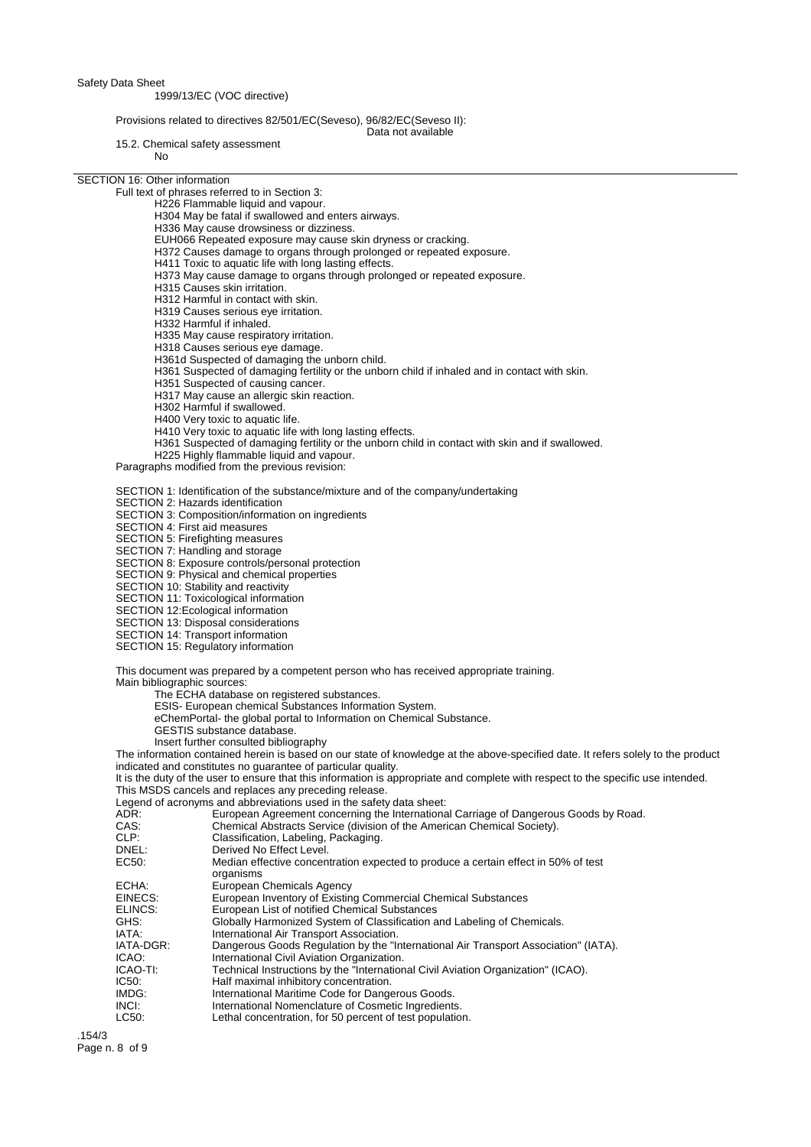Safety Data Sheet

### 1999/13/EC (VOC directive)

### Provisions related to directives 82/501/EC(Seveso), 96/82/EC(Seveso II):

15.2. Chemical safety assessment

No

SECTION 16: Other information

Full text of phrases referred to in Section 3:

- H226 Flammable liquid and vapour.
- H304 May be fatal if swallowed and enters airways.
- H336 May cause drowsiness or dizziness.
- EUH066 Repeated exposure may cause skin dryness or cracking.
- H372 Causes damage to organs through prolonged or repeated exposure.
- H411 Toxic to aquatic life with long lasting effects.
- H373 May cause damage to organs through prolonged or repeated exposure.
- H315 Causes skin irritation.
- H312 Harmful in contact with skin.
- H319 Causes serious eye irritation.
- H332 Harmful if inhaled.
- H335 May cause respiratory irritation.
- H318 Causes serious eye damage.
- H361d Suspected of damaging the unborn child.
- H361 Suspected of damaging fertility or the unborn child if inhaled and in contact with skin.

Data not available

- H351 Suspected of causing cancer.
- H317 May cause an allergic skin reaction.
- H302 Harmful if swallowed.
- H400 Very toxic to aquatic life.
- H410 Very toxic to aquatic life with long lasting effects.
- H361 Suspected of damaging fertility or the unborn child in contact with skin and if swallowed.

H225 Highly flammable liquid and vapour.

Paragraphs modified from the previous revision:

SECTION 1: Identification of the substance/mixture and of the company/undertaking

SECTION 2: Hazards identification

SECTION 3: Composition/information on ingredients

SECTION 4: First aid measures

SECTION 5: Firefighting measures

- SECTION 7: Handling and storage
- SECTION 8: Exposure controls/personal protection
- SECTION 9: Physical and chemical properties
- SECTION 10: Stability and reactivity

SECTION 11: Toxicological information

- SECTION 12:Ecological information
- SECTION 13: Disposal considerations
- SECTION 14: Transport information
- SECTION 15: Regulatory information

This document was prepared by a competent person who has received appropriate training.

Main bibliographic sources:

The ECHA database on registered substances.

- ESIS- European chemical Substances Information System.
- eChemPortal- the global portal to Information on Chemical Substance.
- GESTIS substance database.

Insert further consulted bibliography

The information contained herein is based on our state of knowledge at the above-specified date. It refers solely to the product indicated and constitutes no guarantee of particular quality.

It is the duty of the user to ensure that this information is appropriate and complete with respect to the specific use intended. This MSDS cancels and replaces any preceding release.

Legend of acronyms and abbreviations used in the safety data sheet:

| ADR:<br>CAS: | European Agreement concerning the International Carriage of Dangerous Goods by Road.<br>Chemical Abstracts Service (division of the American Chemical Society). |
|--------------|-----------------------------------------------------------------------------------------------------------------------------------------------------------------|
| CLP:         | Classification, Labeling, Packaging.                                                                                                                            |
| DNEL:        | Derived No Effect Level.                                                                                                                                        |
| EC50:        | Median effective concentration expected to produce a certain effect in 50% of test<br>organisms                                                                 |
| ECHA:        | European Chemicals Agency                                                                                                                                       |
| EINECS:      | European Inventory of Existing Commercial Chemical Substances                                                                                                   |
| ELINCS:      | European List of notified Chemical Substances                                                                                                                   |
| GHS:         | Globally Harmonized System of Classification and Labeling of Chemicals.                                                                                         |
| IATA:        | International Air Transport Association.                                                                                                                        |
| IATA-DGR:    | Dangerous Goods Regulation by the "International Air Transport Association" (IATA).                                                                             |
| ICAO:        | International Civil Aviation Organization.                                                                                                                      |
| ICAO-TI:     | Technical Instructions by the "International Civil Aviation Organization" (ICAO).                                                                               |
| IC50:        | Half maximal inhibitory concentration.                                                                                                                          |
| IMDG:        | International Maritime Code for Dangerous Goods.                                                                                                                |
| INCI:        | International Nomenclature of Cosmetic Ingredients.                                                                                                             |
| LC50:        | Lethal concentration, for 50 percent of test population.                                                                                                        |
|              |                                                                                                                                                                 |

.154/3 Page n. 8 of 9